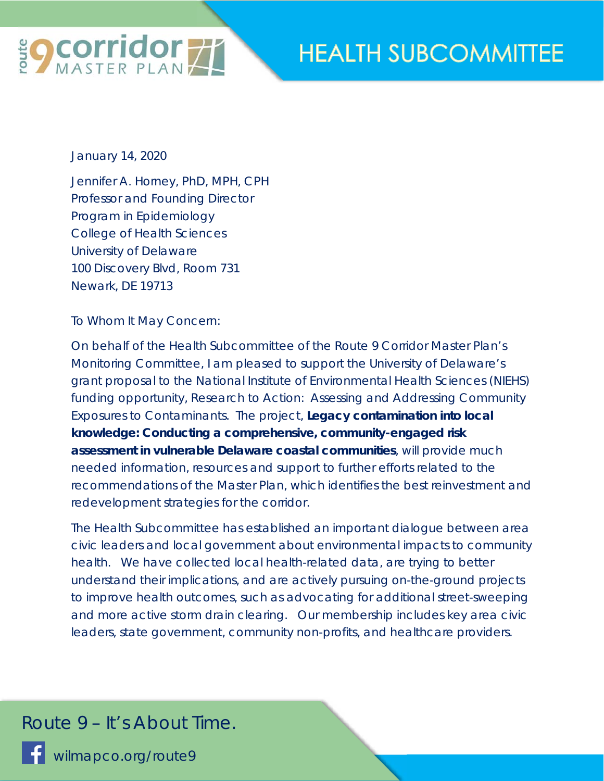

## **HEALTH SUBCOMMITTEE**

January 14, 2020

Jennifer A. Horney, PhD, MPH, CPH Professor and Founding Director Program in Epidemiology College of Health Sciences University of Delaware 100 Discovery Blvd, Room 731 Newark, DE 19713

To Whom It May Concern:

On behalf of the Health Subcommittee of the Route 9 Corridor Master Plan's Monitoring Committee, I am pleased to support the University of Delaware's grant proposal to the National Institute of Environmental Health Sciences (NIEHS) funding opportunity, Research to Action: Assessing and Addressing Community Exposures to Contaminants. The project, *Legacy contamination into local knowledge: Conducting a comprehensive, community-engaged risk assessment in vulnerable Delaware coastal communities*, will provide much needed information, resources and support to further efforts related to the recommendations of the Master Plan, which identifies the best reinvestment and redevelopment strategies for the corridor.

The Health Subcommittee has established an important dialogue between area civic leaders and local government about environmental impacts to community health. We have collected local health-related data, are trying to better understand their implications, and are actively pursuing on-the-ground projects to improve health outcomes, such as advocating for additional street-sweeping and more active storm drain clearing. Our membership includes key area civic leaders, state government, community non-profits, and healthcare providers.

## *Route 9 – It's About Time.*

wilmapco.org/route9